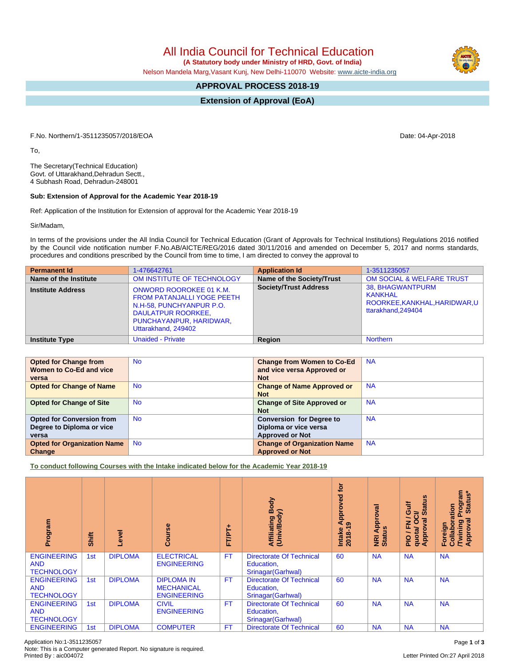All India Council for Technical Education

 **(A Statutory body under Ministry of HRD, Govt. of India)**

Nelson Mandela Marg,Vasant Kunj, New Delhi-110070 Website: [www.aicte-india.org](http://www.aicte-india.org)

## **APPROVAL PROCESS 2018-19**

**Extension of Approval (EoA)**

F.No. Northern/1-3511235057/2018/EOA Date: 04-Apr-2018

To,

The Secretary(Technical Education) Govt. of Uttarakhand,Dehradun Sectt., 4 Subhash Road, Dehradun-248001

## **Sub: Extension of Approval for the Academic Year 2018-19**

Ref: Application of the Institution for Extension of approval for the Academic Year 2018-19

Sir/Madam,

In terms of the provisions under the All India Council for Technical Education (Grant of Approvals for Technical Institutions) Regulations 2016 notified by the Council vide notification number F.No.AB/AICTE/REG/2016 dated 30/11/2016 and amended on December 5, 2017 and norms standards, procedures and conditions prescribed by the Council from time to time, I am directed to convey the approval to

| <b>Permanent Id</b>      | 1-476642761                                                                                                                                                             | <b>Application Id</b>        | 1-3511235057                                                                                    |
|--------------------------|-------------------------------------------------------------------------------------------------------------------------------------------------------------------------|------------------------------|-------------------------------------------------------------------------------------------------|
| Name of the Institute    | OM INSTITUTE OF TECHNOLOGY                                                                                                                                              | Name of the Society/Trust    | <b>OM SOCIAL &amp; WELFARE TRUST</b>                                                            |
| <b>Institute Address</b> | <b>ONWORD ROOROKEE 01 K.M.</b><br><b>FROM PATANJALLI YOGE PEETH</b><br>N.H-58, PUNCHYANPUR P.O.<br>DAULATPUR ROORKEE,<br>PUNCHAYANPUR, HARIDWAR,<br>Uttarakhand, 249402 | <b>Society/Trust Address</b> | <b>38. BHAGWANTPURM</b><br><b>KANKHAL</b><br>ROORKEE, KANKHAL, HARIDWAR, U<br>ttarakhand.249404 |
| <b>Institute Type</b>    | <b>Unaided - Private</b>                                                                                                                                                | Region                       | <b>Northern</b>                                                                                 |

| <b>Opted for Change from</b><br>Women to Co-Ed and vice | <b>No</b> | <b>Change from Women to Co-Ed</b><br>and vice versa Approved or | <b>NA</b> |
|---------------------------------------------------------|-----------|-----------------------------------------------------------------|-----------|
| versa                                                   |           | <b>Not</b>                                                      |           |
| <b>Opted for Change of Name</b>                         | <b>No</b> | <b>Change of Name Approved or</b>                               | <b>NA</b> |
|                                                         |           | <b>Not</b>                                                      |           |
| <b>Opted for Change of Site</b>                         | <b>No</b> | <b>Change of Site Approved or</b>                               | <b>NA</b> |
|                                                         |           | <b>Not</b>                                                      |           |
| <b>Opted for Conversion from</b>                        | <b>No</b> | <b>Conversion for Degree to</b>                                 | <b>NA</b> |
| Degree to Diploma or vice                               |           | Diploma or vice versa                                           |           |
| versa                                                   |           | <b>Approved or Not</b>                                          |           |
| <b>Opted for Organization Name</b>                      | <b>No</b> | <b>Change of Organization Name</b>                              | <b>NA</b> |
| Change                                                  |           | <b>Approved or Not</b>                                          |           |

**To conduct following Courses with the Intake indicated below for the Academic Year 2018-19**

| Program                                               | Shift           | Level          | rse<br>යි                                                    | FT/PT+    | Body<br>ody)<br><b>Affiliating</b><br>(Univ/Body                    | $\overline{5}$<br>Approved<br>ၜ<br>Intake<br>$2018 - 1$ | ड़<br>Approv<br><b>Sn</b><br>NRI<br>Stat | Sn<br><b>Jire</b><br>ಹ<br>ぁ<br>∍<br>ပ္ပ<br>∽<br>ह<br>준<br>quotal<br><b>Appro</b><br><b>DI</b> d | Program<br>Status*<br>boration<br>हु<br><b>Twining</b><br>Approval<br>Foreign<br>Collat |
|-------------------------------------------------------|-----------------|----------------|--------------------------------------------------------------|-----------|---------------------------------------------------------------------|---------------------------------------------------------|------------------------------------------|-------------------------------------------------------------------------------------------------|-----------------------------------------------------------------------------------------|
| <b>ENGINEERING</b><br><b>AND</b><br><b>TECHNOLOGY</b> | 1 <sub>st</sub> | <b>DIPLOMA</b> | <b>ELECTRICAL</b><br><b>ENGINEERING</b>                      | <b>FT</b> | <b>Directorate Of Technical</b><br>Education,<br>Srinagar(Garhwal)  | 60                                                      | <b>NA</b>                                | <b>NA</b>                                                                                       | <b>NA</b>                                                                               |
| <b>ENGINEERING</b><br><b>AND</b><br><b>TECHNOLOGY</b> | 1st             | <b>DIPLOMA</b> | <b>DIPLOMA IN</b><br><b>MECHANICAL</b><br><b>ENGINEERING</b> | <b>FT</b> | <b>Directorate Of Technical</b><br>Education,<br>Srinagar(Garhwal)  | 60                                                      | <b>NA</b>                                | <b>NA</b>                                                                                       | <b>NA</b>                                                                               |
| <b>ENGINEERING</b><br><b>AND</b><br><b>TECHNOLOGY</b> | 1st             | <b>DIPLOMA</b> | <b>CIVIL</b><br><b>ENGINEERING</b>                           | <b>FT</b> | <b>Directorate Of Technical</b><br>Education,<br>Srinagar (Garhwal) | 60                                                      | <b>NA</b>                                | <b>NA</b>                                                                                       | <b>NA</b>                                                                               |
| <b>ENGINEERING</b>                                    | 1st             | <b>DIPLOMA</b> | <b>COMPUTER</b>                                              | FT.       | <b>Directorate Of Technical</b>                                     | 60                                                      | <b>NA</b>                                | <b>NA</b>                                                                                       | <b>NA</b>                                                                               |

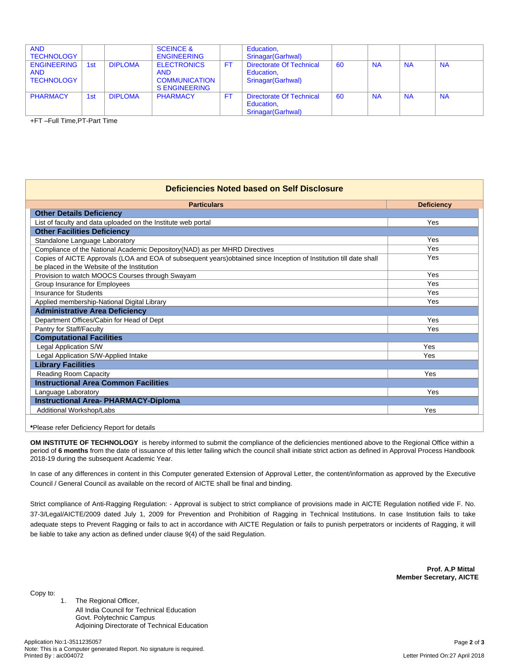| <b>AND</b><br><b>TECHNOLOGY</b>                       |                 |                | <b>SCEINCE &amp;</b><br><b>ENGINEERING</b>                                       |    | Education,<br>Srinagar (Garhwal)                             |    |           |           |           |
|-------------------------------------------------------|-----------------|----------------|----------------------------------------------------------------------------------|----|--------------------------------------------------------------|----|-----------|-----------|-----------|
| <b>ENGINEERING</b><br><b>AND</b><br><b>TECHNOLOGY</b> | 1st             | <b>DIPLOMA</b> | <b>ELECTRONICS</b><br><b>AND</b><br><b>COMMUNICATION</b><br><b>S ENGINEERING</b> | FT | Directorate Of Technical<br>Education,<br>Srinagar (Garhwal) | 60 | <b>NA</b> | <b>NA</b> | <b>NA</b> |
| <b>PHARMACY</b>                                       | 1 <sub>st</sub> | <b>DIPLOMA</b> | <b>PHARMACY</b>                                                                  | F1 | Directorate Of Technical<br>Education,<br>Srinagar (Garhwal) | 60 | <b>NA</b> | <b>NA</b> | <b>NA</b> |

+FT –Full Time,PT-Part Time

## **Deficiencies Noted based on Self Disclosure**

| <b>Particulars</b>                                                                                                                                                 | <b>Deficiency</b> |
|--------------------------------------------------------------------------------------------------------------------------------------------------------------------|-------------------|
| <b>Other Details Deficiency</b>                                                                                                                                    |                   |
| List of faculty and data uploaded on the Institute web portal                                                                                                      | Yes               |
| <b>Other Facilities Deficiency</b>                                                                                                                                 |                   |
| Standalone Language Laboratory                                                                                                                                     | Yes               |
| Compliance of the National Academic Depository (NAD) as per MHRD Directives                                                                                        | Yes               |
| Copies of AICTE Approvals (LOA and EOA of subsequent years) obtained since Inception of Institution till date shall<br>be placed in the Website of the Institution | Yes               |
| Provision to watch MOOCS Courses through Swayam                                                                                                                    | Yes               |
| Group Insurance for Employees                                                                                                                                      | Yes               |
| <b>Insurance for Students</b>                                                                                                                                      | Yes               |
| Applied membership-National Digital Library                                                                                                                        | Yes               |
| <b>Administrative Area Deficiency</b>                                                                                                                              |                   |
| Department Offices/Cabin for Head of Dept                                                                                                                          | Yes               |
| Pantry for Staff/Faculty                                                                                                                                           | Yes               |
| <b>Computational Facilities</b>                                                                                                                                    |                   |
| <b>Legal Application S/W</b>                                                                                                                                       | Yes               |
| Legal Application S/W-Applied Intake                                                                                                                               | Yes               |
| <b>Library Facilities</b>                                                                                                                                          |                   |
| Reading Room Capacity                                                                                                                                              | Yes               |
| <b>Instructional Area Common Facilities</b>                                                                                                                        |                   |
| Language Laboratory                                                                                                                                                | Yes               |
| <b>Instructional Area- PHARMACY-Diploma</b>                                                                                                                        |                   |
| Additional Workshop/Labs                                                                                                                                           | Yes               |

**\***Please refer Deficiency Report for details

**OM INSTITUTE OF TECHNOLOGY** is hereby informed to submit the compliance of the deficiencies mentioned above to the Regional Office within a period of 6 months from the date of issuance of this letter failing which the council shall initiate strict action as defined in Approval Process Handbook 2018-19 during the subsequent Academic Year.

In case of any differences in content in this Computer generated Extension of Approval Letter, the content/information as approved by the Executive Council / General Council as available on the record of AICTE shall be final and binding.

Strict compliance of Anti-Ragging Regulation: - Approval is subject to strict compliance of provisions made in AICTE Regulation notified vide F. No. 37-3/Legal/AICTE/2009 dated July 1, 2009 for Prevention and Prohibition of Ragging in Technical Institutions. In case Institution fails to take adequate steps to Prevent Ragging or fails to act in accordance with AICTE Regulation or fails to punish perpetrators or incidents of Ragging, it will be liable to take any action as defined under clause 9(4) of the said Regulation.

> **Prof. A.P Mittal Member Secretary, AICTE**

Copy to:

1. The Regional Officer, All India Council for Technical Education Govt. Polytechnic Campus Adjoining Directorate of Technical Education